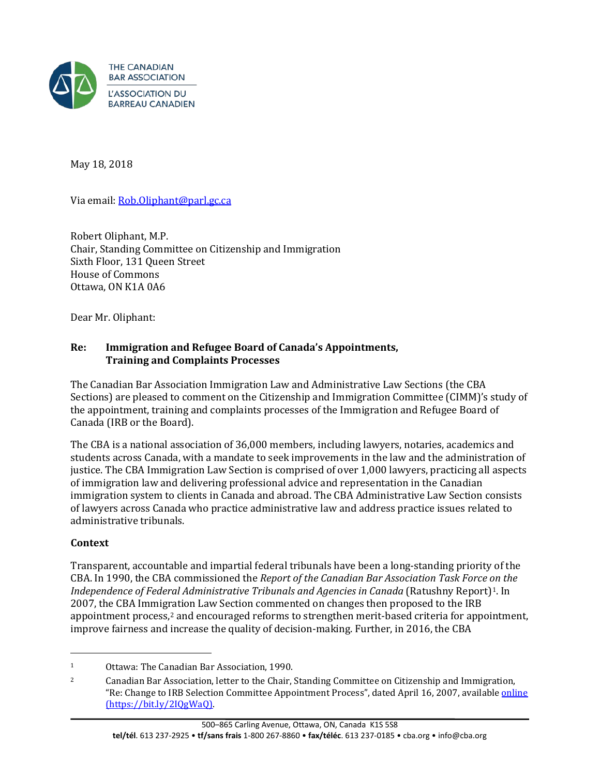

May 18, 2018

Via email: [Rob.Oliphant@parl.gc.ca](mailto:Rob.Oliphant@parl.gc.ca)

Robert Oliphant, M.P. Chair, Standing Committee on Citizenship and Immigration Sixth Floor, 131 Queen Street House of Commons Ottawa, ON K1A 0A6

Dear Mr. Oliphant:

### **Re: Immigration and Refugee Board of Canada's Appointments, Training and Complaints Processes**

The Canadian Bar Association Immigration Law and Administrative Law Sections (the CBA Sections) are pleased to comment on the Citizenship and Immigration Committee (CIMM)'s study of the appointment, training and complaints processes of the Immigration and Refugee Board of Canada (IRB or the Board).

The CBA is a national association of 36,000 members, including lawyers, notaries, academics and students across Canada, with a mandate to seek improvements in the law and the administration of justice. The CBA Immigration Law Section is comprised of over 1,000 lawyers, practicing all aspects of immigration law and delivering professional advice and representation in the Canadian immigration system to clients in Canada and abroad. The CBA Administrative Law Section consists of lawyers across Canada who practice administrative law and address practice issues related to administrative tribunals.

#### **Context**

Transparent, accountable and impartial federal tribunals have been a long-standing priority of the CBA. In 1990, the CBA commissioned the *Report of the Canadian Bar Association Task Force on the Independence of Federal Administrative Tribunals and Agencies in Canada* (Ratushny Report)[1.](#page-0-0) In 2007, the CBA Immigration Law Section commented on changes then proposed to the IRB appointment process,[2](#page-0-1) and encouraged reforms to strengthen merit-based criteria for appointment, improve fairness and increase the quality of decision-making. Further, in 2016, the CBA

<span id="page-0-0"></span><sup>1</sup> Ottawa: The Canadian Bar Association, 1990.

<span id="page-0-1"></span><sup>&</sup>lt;sup>2</sup> Canadian Bar Association, letter to the Chair, Standing Committee on Citizenship and Immigration, "Re: Change to IRB Selection Committee Appointment Process", dated April 16, 2007, available *[online](https://www.cba.org/CMSPages/GetFile.aspx?guid=8a80ac3e-00d1-4e5b-beab-2861a83f3705)* (https://bit.ly/2IQgWaQ).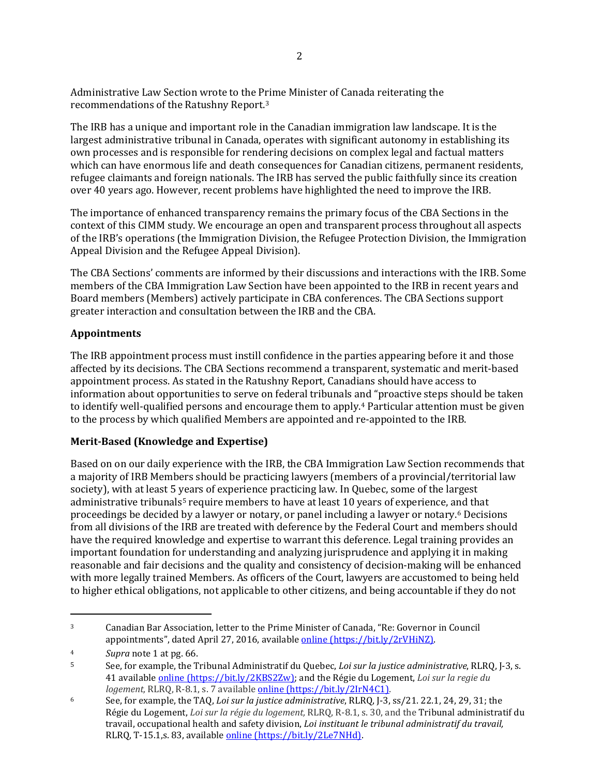Administrative Law Section wrote to the Prime Minister of Canada reiterating the recommendations of the Ratushny Report.[3](#page-1-0)

The IRB has a unique and important role in the Canadian immigration law landscape. It is the largest administrative tribunal in Canada, operates with significant autonomy in establishing its own processes and is responsible for rendering decisions on complex legal and factual matters which can have enormous life and death consequences for Canadian citizens, permanent residents, refugee claimants and foreign nationals. The IRB has served the public faithfully since its creation over 40 years ago. However, recent problems have highlighted the need to improve the IRB.

The importance of enhanced transparency remains the primary focus of the CBA Sections in the context of this CIMM study. We encourage an open and transparent process throughout all aspects of the IRB's operations (the Immigration Division, the Refugee Protection Division, the Immigration Appeal Division and the Refugee Appeal Division).

The CBA Sections' comments are informed by their discussions and interactions with the IRB. Some members of the CBA Immigration Law Section have been appointed to the IRB in recent years and Board members (Members) actively participate in CBA conferences. The CBA Sections support greater interaction and consultation between the IRB and the CBA.

#### **Appointments**

The IRB appointment process must instill confidence in the parties appearing before it and those affected by its decisions. The CBA Sections recommend a transparent, systematic and merit-based appointment process. As stated in the Ratushny Report, Canadians should have access to information about opportunities to serve on federal tribunals a[n](#page-1-1)d "proactive steps should be taken to identify well-qualified persons and encourage them to apply.4 Particular attention must be given to the process by which qualified Members are appointed and re-appointed to the IRB.

# **Merit-Based (Knowledge and Expertise)**

Based on on our daily experience with the IRB, the CBA Immigration Law Section recommends that a majority of IRB Members should be practicing lawyers (members of a provincial/territorial law society), with at least 5 years of experience practicing law. In Quebec, some of the largest admi[n](#page-1-3)istrative tribunals<sup>5</sup> require members to have at least 10 years of experience, and that proceedings be decided by a lawyer or notary, or panel including a lawyer or notary.6 Decisions from all divisions of the IRB are treated with deference by the Federal Court and members should have the required knowledge and expertise to warrant this deference. Legal training provides an important foundation for understanding and analyzing jurisprudence and applying it in making reasonable and fair decisions and the quality and consistency of decision-making will be enhanced with more legally trained Members. As officers of the Court, lawyers are accustomed to being held to higher ethical obligations, not applicable to other citizens, and being accountable if they do not

j

<span id="page-1-0"></span><sup>3</sup> Canadian Bar Association, letter to the Prime Minister of Canada, "Re: Governor in Council appointments", dated April 27, 2016, available [online](https://www.cba.org/CMSPages/GetFile.aspx?guid=8062310c-7cdd-4b7e-97f2-9b5c5427976f) (https://bit.ly/2rVHiNZ).

<span id="page-1-1"></span><sup>4</sup> *Supra* note 1 at pg. 66.

<span id="page-1-2"></span><sup>5</sup> See, for example, the Tribunal Administratif du Quebec, *Loi sur la justice administrative*, RLRQ, J-3, s. 41 available [online](http://www.legisquebec.gouv.qc.ca/en/showdoc/cs/J-3) (https://bit.ly/2KBS2Zw); and the Régie du Logement, *Loi sur la regie du logement,* RLRQ, R-8.1, s. 7 available [online](http://legisquebec.gouv.qc.ca/fr/ShowDoc/cs/R-8.1) (https://bit.ly/2IrN4C1).

<span id="page-1-3"></span><sup>6</sup> See, for example, the TAQ, *Loi sur la justice administrative*, RLRQ, J-3, ss/21. 22.1, 24, 29, 31; the Régie du Logement, *Loi sur la régie du logement,* RLRQ, R-8.1, s. 30, and the Tribunal administratif du travail, occupational health and safety division, *Loi instituant le tribunal administratif du travail,* RLRQ, T-15.1,s. 83, available [online](http://legisquebec.gouv.qc.ca/fr/ShowDoc/cs/T-15.1) (https://bit.ly/2Le7NHd).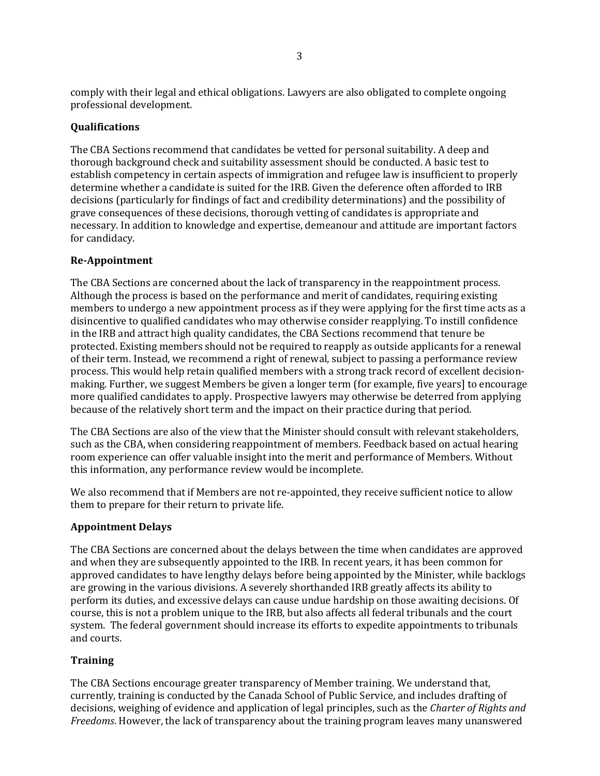comply with their legal and ethical obligations. Lawyers are also obligated to complete ongoing professional development.

### **Qualifications**

The CBA Sections recommend that candidates be vetted for personal suitability. A deep and thorough background check and suitability assessment should be conducted. A basic test to establish competency in certain aspects of immigration and refugee law is insufficient to properly determine whether a candidate is suited for the IRB. Given the deference often afforded to IRB decisions (particularly for findings of fact and credibility determinations) and the possibility of grave consequences of these decisions, thorough vetting of candidates is appropriate and necessary. In addition to knowledge and expertise, demeanour and attitude are important factors for candidacy.

#### **Re-Appointment**

The CBA Sections are concerned about the lack of transparency in the reappointment process. Although the process is based on the performance and merit of candidates, requiring existing members to undergo a new appointment process as if they were applying for the first time acts as a disincentive to qualified candidates who may otherwise consider reapplying. To instill confidence in the IRB and attract high quality candidates, the CBA Sections recommend that tenure be protected. Existing members should not be required to reapply as outside applicants for a renewal of their term. Instead, we recommend a right of renewal, subject to passing a performance review process. This would help retain qualified members with a strong track record of excellent decisionmaking. Further, we suggest Members be given a longer term (for example, five years] to encourage more qualified candidates to apply. Prospective lawyers may otherwise be deterred from applying because of the relatively short term and the impact on their practice during that period.

The CBA Sections are also of the view that the Minister should consult with relevant stakeholders, such as the CBA, when considering reappointment of members. Feedback based on actual hearing room experience can offer valuable insight into the merit and performance of Members. Without this information, any performance review would be incomplete.

We also recommend that if Members are not re-appointed, they receive sufficient notice to allow them to prepare for their return to private life.

#### **Appointment Delays**

The CBA Sections are concerned about the delays between the time when candidates are approved and when they are subsequently appointed to the IRB. In recent years, it has been common for approved candidates to have lengthy delays before being appointed by the Minister, while backlogs are growing in the various divisions. A severely shorthanded IRB greatly affects its ability to perform its duties, and excessive delays can cause undue hardship on those awaiting decisions. Of course, this is not a problem unique to the IRB, but also affects all federal tribunals and the court system. The federal government should increase its efforts to expedite appointments to tribunals and courts.

#### **Training**

The CBA Sections encourage greater transparency of Member training. We understand that, currently, training is conducted by the Canada School of Public Service, and includes drafting of decisions, weighing of evidence and application of legal principles, such as the *Charter of Rights and Freedoms*. However, the lack of transparency about the training program leaves many unanswered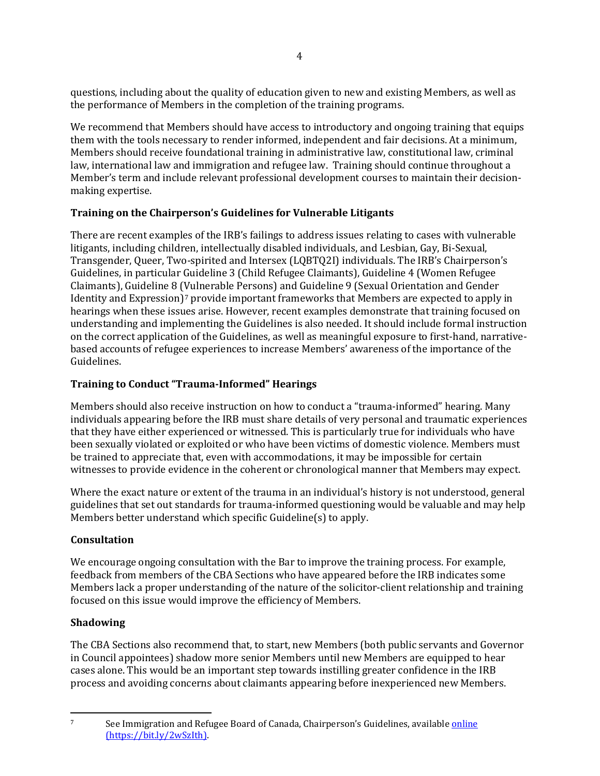questions, including about the quality of education given to new and existing Members, as well as the performance of Members in the completion of the training programs.

We recommend that Members should have access to introductory and ongoing training that equips them with the tools necessary to render informed, independent and fair decisions. At a minimum, Members should receive foundational training in administrative law, constitutional law, criminal law, international law and immigration and refugee law. Training should continue throughout a Member's term and include relevant professional development courses to maintain their decisionmaking expertise.

# **Training on the Chairperson's Guidelines for Vulnerable Litigants**

There are recent examples of the IRB's failings to address issues relating to cases with vulnerable litigants, including children, intellectually disabled individuals, and Lesbian, Gay, Bi-Sexual, Transgender, Queer, Two-spirited and Intersex (LQBTQ2I) individuals. The IRB's Chairperson's Guidelines, in particular Guideline 3 (Child Refugee Claimants), Guideline 4 (Women Refugee Claimants), Guideline 8 (Vulnerable Persons) and Guideline 9 (Sexual Orientation and Gender Identity and Expression)[7](#page-3-0) provide important frameworks that Members are expected to apply in hearings when these issues arise. However, recent examples demonstrate that training focused on understanding and implementing the Guidelines is also needed. It should include formal instruction on the correct application of the Guidelines, as well as meaningful exposure to first-hand, narrativebased accounts of refugee experiences to increase Members' awareness of the importance of the Guidelines.

# **Training to Conduct "Trauma-Informed" Hearings**

Members should also receive instruction on how to conduct a "trauma-informed" hearing. Many individuals appearing before the IRB must share details of very personal and traumatic experiences that they have either experienced or witnessed. This is particularly true for individuals who have been sexually violated or exploited or who have been victims of domestic violence. Members must be trained to appreciate that, even with accommodations, it may be impossible for certain witnesses to provide evidence in the coherent or chronological manner that Members may expect.

Where the exact nature or extent of the trauma in an individual's history is not understood, general guidelines that set out standards for trauma-informed questioning would be valuable and may help Members better understand which specific Guideline(s) to apply.

# **Consultation**

We encourage ongoing consultation with the Bar to improve the training process. For example, feedback from members of the CBA Sections who have appeared before the IRB indicates some Members lack a proper understanding of the nature of the solicitor-client relationship and training focused on this issue would improve the efficiency of Members.

# **Shadowing**

The CBA Sections also recommend that, to start, new Members (both public servants and Governor in Council appointees) shadow more senior Members until new Members are equipped to hear cases alone. This would be an important step towards instilling greater confidence in the IRB process and avoiding concerns about claimants appearing before inexperienced new Members.

<span id="page-3-0"></span> $\overline{7}$ 

See Immigration and Refugee Board of Canada, Chairperson's Guidelines, available [online](http://www.irb-cisr.gc.ca/Eng/BoaCom/references/pol/GuiDir/Pages/index.aspx) (https://bit.ly/2wSzIth).